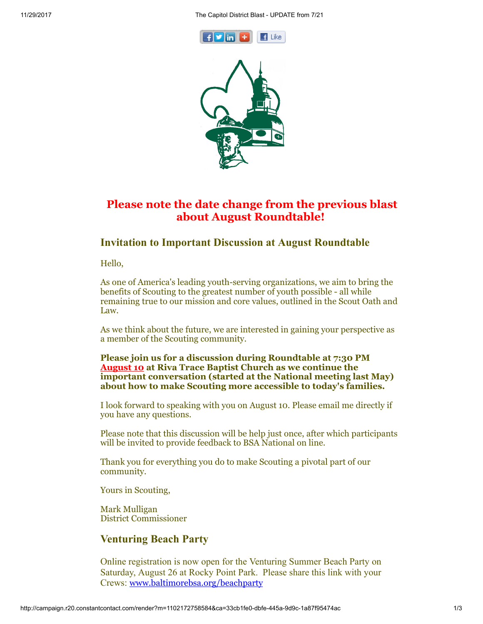11/29/2017 The Capitol District Blast - UPDATE from 7/21





# Please note the date change from the previous blast about August Roundtable!

## Invitation to Important Discussion at August Roundtable

Hello,

As one of America's leading youth-serving organizations, we aim to bring the benefits of Scouting to the greatest number of youth possible - all while remaining true to our mission and core values, outlined in the Scout Oath and Law.

As we think about the future, we are interested in gaining your perspective as a member of the Scouting community.

#### Please join us for a discussion during Roundtable at 7:30 PM August 10 at Riva Trace Baptist Church as we continue the important conversation (started at the National meeting last May) about how to make Scouting more accessible to today's families.

I look forward to speaking with you on August 10. Please email me directly if you have any questions.

Please note that this discussion will be help just once, after which participants will be invited to provide feedback to BSA National on line.

Thank you for everything you do to make Scouting a pivotal part of our community.

Yours in Scouting,

Mark Mulligan District Commissioner

### Venturing Beach Party

Online registration is now open for the Venturing Summer Beach Party on Saturday, August 26 at Rocky Point Park. Please share this link with your Crews: [www.baltimorebsa.org/beachparty](http://www.baltimorebsa.org/beachparty)